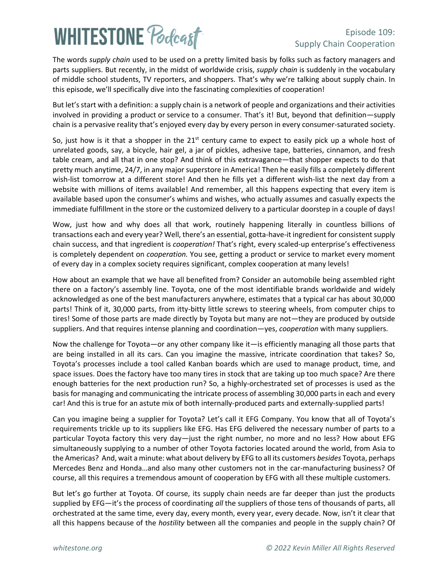# **WHITESTONE Poclast**

### Episode 109: Supply Chain Cooperation

The words *supply chain* used to be used on a pretty limited basis by folks such as factory managers and parts suppliers. But recently, in the midst of worldwide crisis, *supply chain* is suddenly in the vocabulary of middle school students, TV reporters, and shoppers. That's why we're talking about supply chain. In this episode, we'll specifically dive into the fascinating complexities of cooperation!

But let's start with a definition: a supply chain is a network of people and organizations and their activities involved in providing a [product](https://en.wikipedia.org/wiki/Product_(business)) or [service](https://en.wikipedia.org/wiki/Service_(business)) to a consumer. That's it! But, beyond that definition—supply chain is a pervasive reality that's enjoyed every day by every person in every consumer-saturated society.

So, just how is it that a shopper in the  $21<sup>st</sup>$  century came to expect to easily pick up a whole host of unrelated goods, say, a bicycle, hair gel, a jar of pickles, adhesive tape, batteries, cinnamon, and fresh table cream, and all that in one stop? And think of this extravagance—that shopper expects to do that pretty much anytime, 24/7, in any major superstore in America! Then he easily fills a completely different wish-list tomorrow at a different store! And then he fills yet a different wish-list the next day from a website with millions of items available! And remember, all this happens expecting that every item is available based upon the consumer's whims and wishes, who actually assumes and casually expects the immediate fulfillment in the store or the customized delivery to a particular doorstep in a couple of days!

Wow, just how and why does all that work, routinely happening literally in countless billions of transactions each and every year? Well, there's an essential, gotta-have-it ingredient for consistent supply chain success, and that ingredient is *cooperation!* That's right, every scaled-up enterprise's effectiveness is completely dependent on *cooperation.* You see, getting a product or service to market every moment of every day in a complex society requires significant, complex cooperation at many levels!

How about an example that we have all benefited from? Consider an automobile being assembled right there on a factory's assembly line. Toyota, one of the most identifiable brands worldwide and widely acknowledged as one of the best manufacturers anywhere, estimates that a typical car has about 30,000 parts! Think of it, 30,000 parts, from itty-bitty little screws to steering wheels, from computer chips to tires! Some of those parts are made directly by Toyota but many are not—they are produced by outside suppliers. And that requires intense planning and coordination—yes, *cooperation* with many suppliers.

Now the challenge for Toyota—or any other company like it—is efficiently managing all those parts that are being installed in all its cars. Can you imagine the massive, intricate coordination that takes? So, Toyota's processes include a tool called Kanban boards which are used to manage product, time, and space issues. Does the factory have too many tires in stock that are taking up too much space? Are there enough batteries for the next production run? So, a highly-orchestrated set of processes is used as the basis for managing and communicating the intricate process of assembling 30,000 parts in each and every car! And this is true for an astute mix of both internally-produced parts and externally-supplied parts!

Can you imagine being a supplier for Toyota? Let's call it EFG Company. You know that all of Toyota's requirements trickle up to its suppliers like EFG. Has EFG delivered the necessary number of parts to a particular Toyota factory this very day—just the right number, no more and no less? How about EFG simultaneously supplying to a number of other Toyota factories located around the world, from Asia to the Americas? And, wait a minute: what about delivery by EFG to all its customers *besides* Toyota, perhaps Mercedes Benz and Honda…and also many other customers not in the car-manufacturing business? Of course, all this requires a tremendous amount of cooperation by EFG with all these multiple customers.

But let's go further at Toyota. Of course, its supply chain needs are far deeper than just the products supplied by EFG—it's the process of coordinating *all* the suppliers of those tens of thousands of parts, all orchestrated at the same time, every day, every month, every year, every decade. Now, isn't it clear that all this happens because of the *hostility* between all the companies and people in the supply chain? Of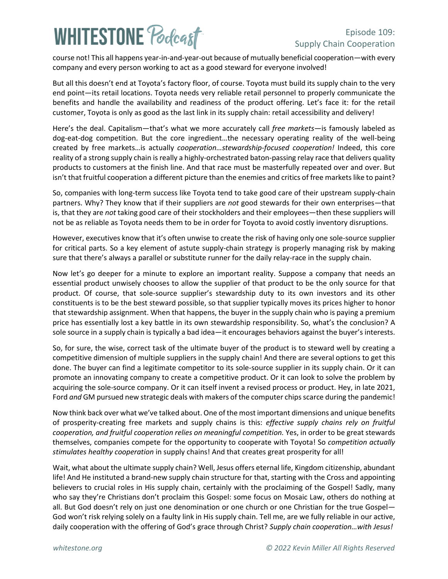## **WHITESTONE Podcast**

#### Episode 109: Supply Chain Cooperation

course not! This all happens year-in-and-year-out because of mutually beneficial cooperation—with every company and every person working to act as a good steward for everyone involved!

But all this doesn't end at Toyota's factory floor, of course. Toyota must build its supply chain to the very end point—its retail locations. Toyota needs very reliable retail personnel to properly communicate the benefits and handle the availability and readiness of the product offering. Let's face it: for the retail customer, Toyota is only as good as the last link in its supply chain: retail accessibility and delivery!

Here's the deal. Capitalism—that's what we more accurately call *free markets*—is famously labeled as dog-eat-dog competition. But the core ingredient…the necessary operating reality of the well-being created by free markets…is actually *cooperation…stewardship-focused cooperation!* Indeed, this core reality of a strong supply chain is really a highly-orchestrated baton-passing relay race that delivers quality products to customers at the finish line. And that race must be masterfully repeated over and over. But isn't that fruitful cooperation a different picture than the enemies and critics of free markets like to paint?

So, companies with long-term success like Toyota tend to take good care of their upstream supply-chain partners. Why? They know that if their suppliers are *not* good stewards for their own enterprises—that is, that they are *not* taking good care of their stockholders and their employees—then these suppliers will not be as reliable as Toyota needs them to be in order for Toyota to avoid costly inventory disruptions.

However, executives know that it's often unwise to create the risk of having only one sole-source supplier for critical parts. So a key element of astute supply-chain strategy is properly managing risk by making sure that there's always a parallel or substitute runner for the daily relay-race in the supply chain.

Now let's go deeper for a minute to explore an important reality. Suppose a company that needs an essential product unwisely chooses to allow the supplier of that product to be the only source for that product. Of course, that sole-source supplier's stewardship duty to its own investors and its other constituents is to be the best steward possible, so that supplier typically moves its prices higher to honor that stewardship assignment. When that happens, the buyer in the supply chain who is paying a premium price has essentially lost a key battle in its own stewardship responsibility. So, what's the conclusion? A sole source in a supply chain is typically a bad idea—it encourages behaviors against the buyer's interests.

So, for sure, the wise, correct task of the ultimate buyer of the product is to steward well by creating a competitive dimension of multiple suppliers in the supply chain! And there are several options to get this done. The buyer can find a legitimate competitor to its sole-source supplier in its supply chain. Or it can promote an innovating company to create a competitive product. Or it can look to solve the problem by acquiring the sole-source company. Or it can itself invent a revised process or product. Hey, in late 2021, Ford *and* GM pursued new strategic deals with makers of the computer chips scarce during the pandemic!

Now think back over what we've talked about. One of the most important dimensions and unique benefits of prosperity-creating free markets and supply chains is this: *effective supply chains rely on fruitful cooperation, and fruitful cooperation relies on meaningful competition.* Yes, in order to be great stewards themselves, companies compete for the opportunity to cooperate with Toyota! So *competition actually stimulates healthy cooperation* in supply chains! And that creates great prosperity for all!

Wait, what about the ultimate supply chain? Well, Jesus offers eternal life, Kingdom citizenship, abundant life! And He instituted a brand-new supply chain structure for that, starting with the Cross and appointing believers to crucial roles in His supply chain, certainly with the proclaiming of the Gospel! Sadly, many who say they're Christians don't proclaim this Gospel: some focus on Mosaic Law, others do nothing at all. But God doesn't rely on just one denomination or one church or one Christian for the true Gospel— God won't risk relying solely on a faulty link in His supply chain. Tell me, are we fully reliable in our active, daily cooperation with the offering of God's grace through Christ? *Supply chain cooperation…with Jesus!*